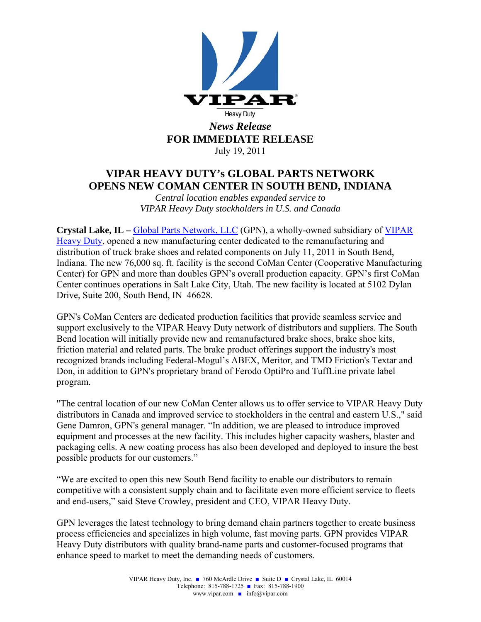

## **VIPAR HEAVY DUTY's GLOBAL PARTS NETWORK OPENS NEW COMAN CENTER IN SOUTH BEND, INDIANA**

*Central location enables expanded service to VIPAR Heavy Duty stockholders in U.S. and Canada* 

**Crystal Lake, IL –** Global Parts Network, LLC (GPN), a wholly-owned subsidiary of VIPAR Heavy Duty, opened a new manufacturing center dedicated to the remanufacturing and distribution of truck brake shoes and related components on July 11, 2011 in South Bend, Indiana. The new 76,000 sq. ft. facility is the second CoMan Center (Cooperative Manufacturing Center) for GPN and more than doubles GPN's overall production capacity. GPN's first CoMan Center continues operations in Salt Lake City, Utah. The new facility is located at 5102 Dylan Drive, Suite 200, South Bend, IN 46628.

GPN's CoMan Centers are dedicated production facilities that provide seamless service and support exclusively to the VIPAR Heavy Duty network of distributors and suppliers. The South Bend location will initially provide new and remanufactured brake shoes, brake shoe kits, friction material and related parts. The brake product offerings support the industry's most recognized brands including Federal-Mogul's ABEX, Meritor, and TMD Friction's Textar and Don, in addition to GPN's proprietary brand of Ferodo OptiPro and TuffLine private label program.

"The central location of our new CoMan Center allows us to offer service to VIPAR Heavy Duty distributors in Canada and improved service to stockholders in the central and eastern U.S.," said Gene Damron, GPN's general manager. "In addition, we are pleased to introduce improved equipment and processes at the new facility. This includes higher capacity washers, blaster and packaging cells. A new coating process has also been developed and deployed to insure the best possible products for our customers."

"We are excited to open this new South Bend facility to enable our distributors to remain competitive with a consistent supply chain and to facilitate even more efficient service to fleets and end-users," said Steve Crowley, president and CEO, VIPAR Heavy Duty.

GPN leverages the latest technology to bring demand chain partners together to create business process efficiencies and specializes in high volume, fast moving parts. GPN provides VIPAR Heavy Duty distributors with quality brand-name parts and customer-focused programs that enhance speed to market to meet the demanding needs of customers.